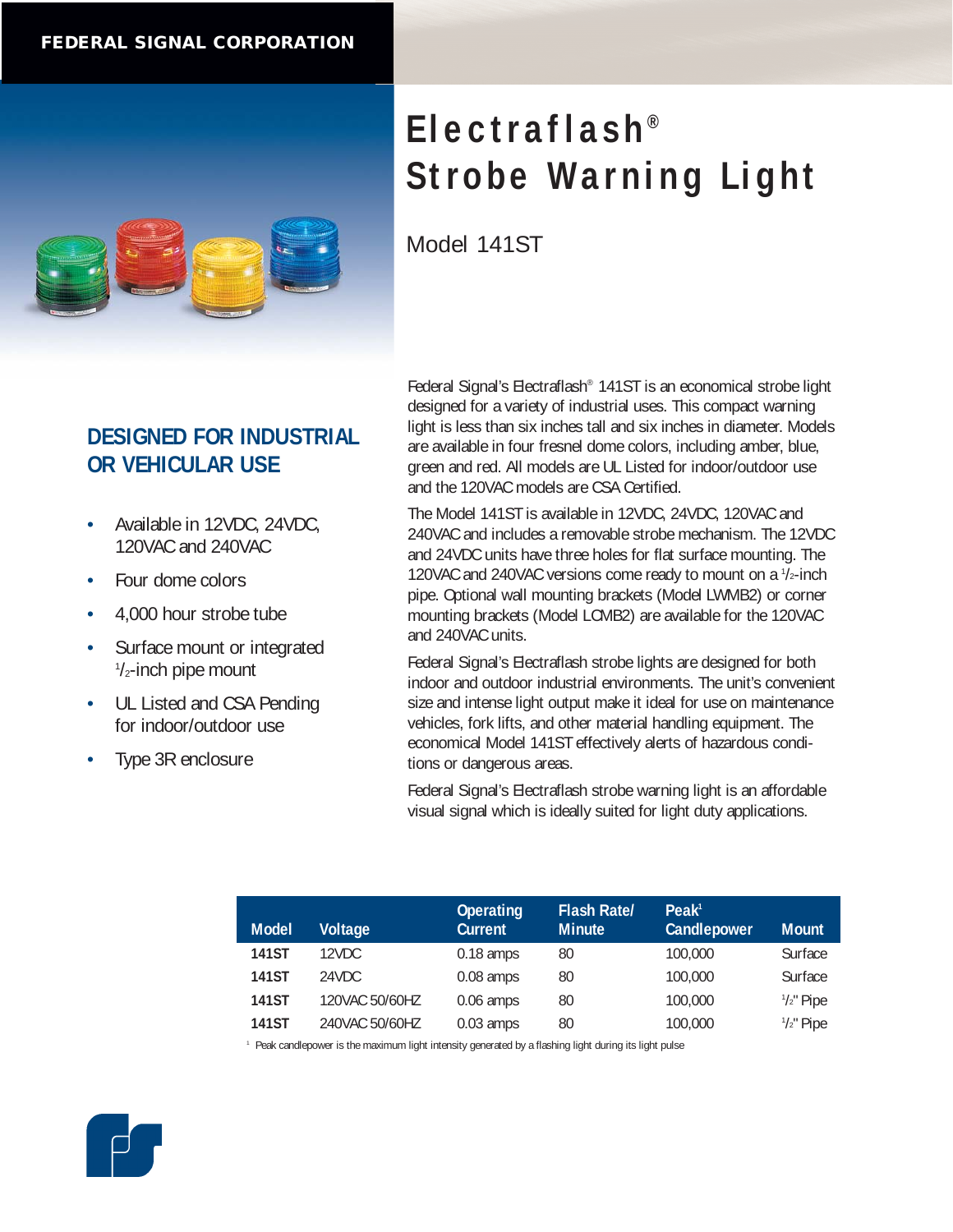

## **DESIGNED FOR INDUSTRIAL OR VEHICULAR USE**

- Available in 12VDC, 24VDC, 120VAC and 240VAC
- Four dome colors
- 4,000 hour strobe tube
- Surface mount or integrated 1 /2-inch pipe mount
- UL Listed and CSA Pending for indoor/outdoor use
- Type 3R enclosure

Federal Signal's Electraflash® 141ST is an economical strobe light designed for a variety of industrial uses. This compact warning light is less than six inches tall and six inches in diameter. Models are available in four fresnel dome colors, including amber, blue, green and red. All models are UL Listed for indoor/outdoor use and the 120VAC models are CSA Certified.

The Model 141ST is available in 12VDC, 24VDC, 120VAC and 240VAC and includes a removable strobe mechanism. The 12VDC and 24VDC units have three holes for flat surface mounting. The 120VAC and 240VAC versions come ready to mount on a  $1/2$ -inch pipe. Optional wall mounting brackets (Model LWMB2) or corner mounting brackets (Model LCMB2) are available for the 120VAC and 240VAC units.

Federal Signal's Electraflash strobe lights are designed for both indoor and outdoor industrial environments. The unit's convenient size and intense light output make it ideal for use on maintenance vehicles, fork lifts, and other material handling equipment. The economical Model 141ST effectively alerts of hazardous conditions or dangerous areas.

Federal Signal's Electraflash strobe warning light is an affordable visual signal which is ideally suited for light duty applications.

| <b>Model</b> | Voltage        | <b>Operating</b><br><b>Current</b> | <b>Flash Rate/</b><br><b>Minute</b> | Peak <sup>1</sup><br>Candlepower | <b>Mount</b>         |
|--------------|----------------|------------------------------------|-------------------------------------|----------------------------------|----------------------|
| <b>141ST</b> | 12VDC.         | $0.18$ amps                        | 80                                  | 100,000                          | Surface              |
| <b>141ST</b> | 24VDC          | $0.08$ amps                        | 80                                  | 100,000                          | Surface              |
| <b>141ST</b> | 120VAC 50/60HZ | $0.06$ amps                        | 80                                  | 100,000                          | $\frac{1}{2}$ " Pipe |
| <b>141ST</b> | 240VAC 50/60HZ | $0.03$ amps                        | 80                                  | 100,000                          | $\frac{1}{2}$ " Pipe |

<sup>1</sup> Peak candlepower is the maximum light intensity generated by a flashing light during its light pulse